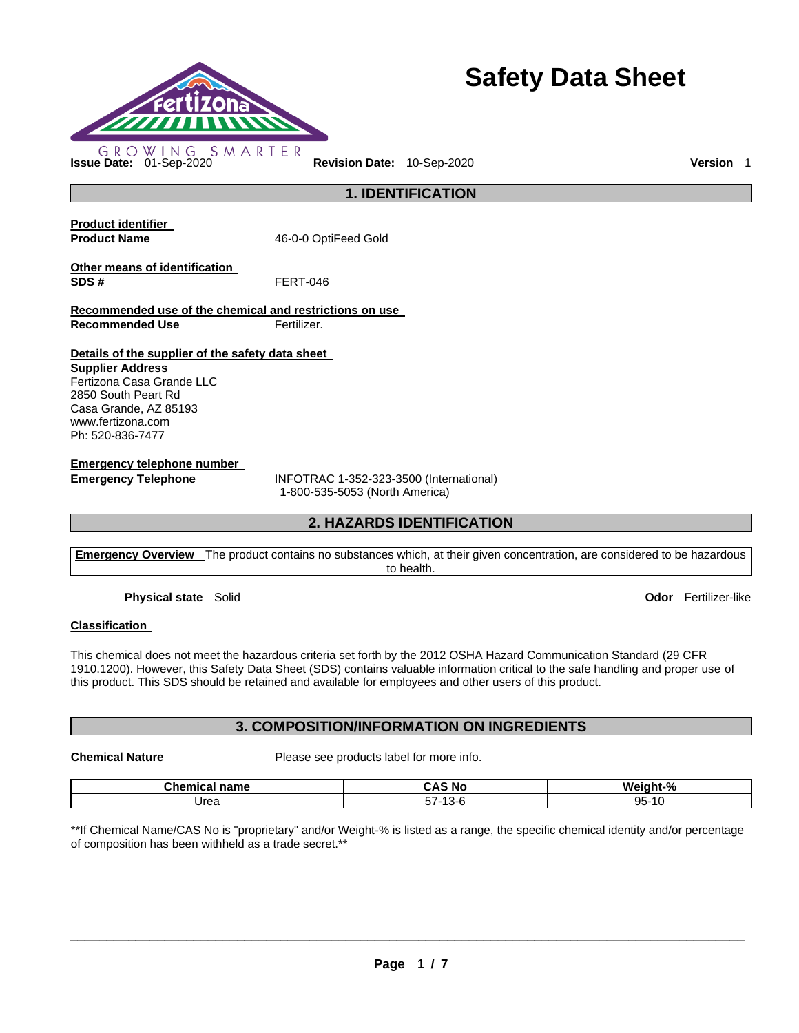

# **Safety Data Sheet**

**1. IDENTIFICATION** 

**Product identifier** 

Product Name **16-0-0 OptiFeed Gold** 

**Other means of identification SDS #** FERT-046

**Recommended use of the chemical and restrictions on use Recommended Use Fertilizer.** 

**Details of the supplier of the safety data sheet** 

**Supplier Address** Fertizona Casa Grande LLC 2850 South Peart Rd Casa Grande, AZ 85193 www.fertizona.com Ph: 520-836-7477

**Emergency telephone number** 

**Emergency Telephone** INFOTRAC 1-352-323-3500 (International) 1-800-535-5053 (North America)

# **2. HAZARDS IDENTIFICATION**

**Emergency Overview** The product contains no substances which, at their given concentration, are considered to be hazardous to health.

**Physical state** Solid **Odor** Fertilizer-like

# **Classification**

This chemical does not meet the hazardous criteria set forth by the 2012 OSHA Hazard Communication Standard (29 CFR 1910.1200). However, this Safety Data Sheet (SDS) contains valuable information critical to the safe handling and proper use of this product. This SDS should be retained and available for employees and other users of this product.

# **3. COMPOSITION/INFORMATION ON INGREDIENTS**

**Chemical Nature** Please see products label for more info.

| <b>Chemi</b><br><b>100.0000</b><br>панк<br>ш.а | ∶ Nc                         | $\mathbf{0}$<br>We<br>ıht<br>70 |
|------------------------------------------------|------------------------------|---------------------------------|
| Jrea                                           | $- -$<br>$-$<br>າ / -<br>∙ت. | QF<br>$\overline{a}$<br>ـا<br>◡ |

\*\*If Chemical Name/CAS No is "proprietary" and/or Weight-% is listed as a range, the specific chemical identity and/or percentage of composition has been withheld as a trade secret.\*\*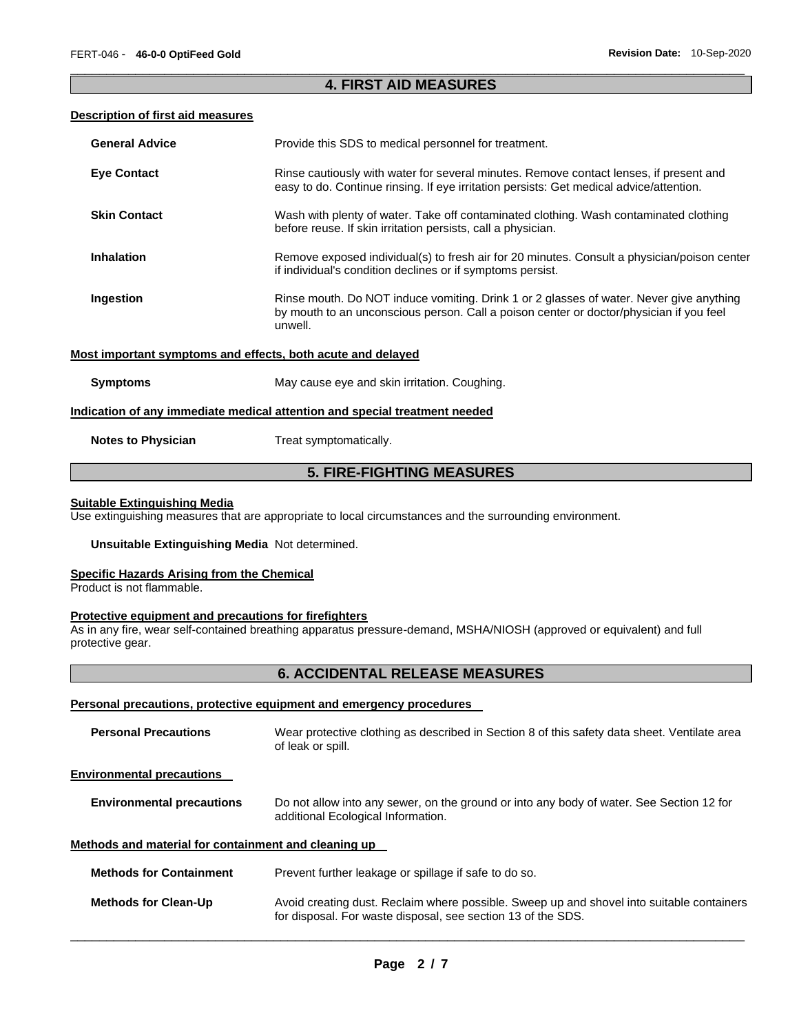# \_\_\_\_\_\_\_\_\_\_\_\_\_\_\_\_\_\_\_\_\_\_\_\_\_\_\_\_\_\_\_\_\_\_\_\_\_\_\_\_\_\_\_\_\_\_\_\_\_\_\_\_\_\_\_\_\_\_\_\_\_\_\_\_\_\_\_\_\_\_\_\_\_\_\_\_\_\_\_\_\_\_\_\_\_\_\_\_\_\_\_\_\_ **4. FIRST AID MEASURES**

#### **Description of first aid measures**

| <b>General Advice</b>     | Provide this SDS to medical personnel for treatment.                                                                                                                                          |
|---------------------------|-----------------------------------------------------------------------------------------------------------------------------------------------------------------------------------------------|
| <b>Eye Contact</b>        | Rinse cautiously with water for several minutes. Remove contact lenses, if present and<br>easy to do. Continue rinsing. If eye irritation persists: Get medical advice/attention.             |
| <b>Skin Contact</b>       | Wash with plenty of water. Take off contaminated clothing. Wash contaminated clothing<br>before reuse. If skin irritation persists, call a physician.                                         |
| <b>Inhalation</b>         | Remove exposed individual(s) to fresh air for 20 minutes. Consult a physician/poison center<br>if individual's condition declines or if symptoms persist.                                     |
| Ingestion                 | Rinse mouth. Do NOT induce vomiting. Drink 1 or 2 glasses of water. Never give anything<br>by mouth to an unconscious person. Call a poison center or doctor/physician if you feel<br>unwell. |
|                           | Most important symptoms and effects, both acute and delayed                                                                                                                                   |
| <b>Symptoms</b>           | May cause eye and skin irritation. Coughing.                                                                                                                                                  |
|                           | Indication of any immediate medical attention and special treatment needed                                                                                                                    |
| <b>Notes to Physician</b> | Treat symptomatically.                                                                                                                                                                        |

# **5. FIRE-FIGHTING MEASURES**

# **Suitable Extinguishing Media**

Use extinguishing measures that are appropriate to local circumstances and the surrounding environment.

#### **Unsuitable Extinguishing Media** Not determined.

#### **Specific Hazards Arising from the Chemical**

Product is not flammable.

## **Protective equipment and precautions for firefighters**

As in any fire, wear self-contained breathing apparatus pressure-demand, MSHA/NIOSH (approved or equivalent) and full protective gear.

# **6. ACCIDENTAL RELEASE MEASURES**

#### **Personal precautions, protective equipment and emergency procedures**

| <b>Personal Precautions</b>                          | Wear protective clothing as described in Section 8 of this safety data sheet. Ventilate area<br>of leak or spill.                                         |
|------------------------------------------------------|-----------------------------------------------------------------------------------------------------------------------------------------------------------|
| <b>Environmental precautions</b>                     |                                                                                                                                                           |
| <b>Environmental precautions</b>                     | Do not allow into any sewer, on the ground or into any body of water. See Section 12 for<br>additional Ecological Information.                            |
| Methods and material for containment and cleaning up |                                                                                                                                                           |
| <b>Methods for Containment</b>                       | Prevent further leakage or spillage if safe to do so.                                                                                                     |
| <b>Methods for Clean-Up</b>                          | Avoid creating dust. Reclaim where possible. Sweep up and shovel into suitable containers<br>for disposal. For waste disposal, see section 13 of the SDS. |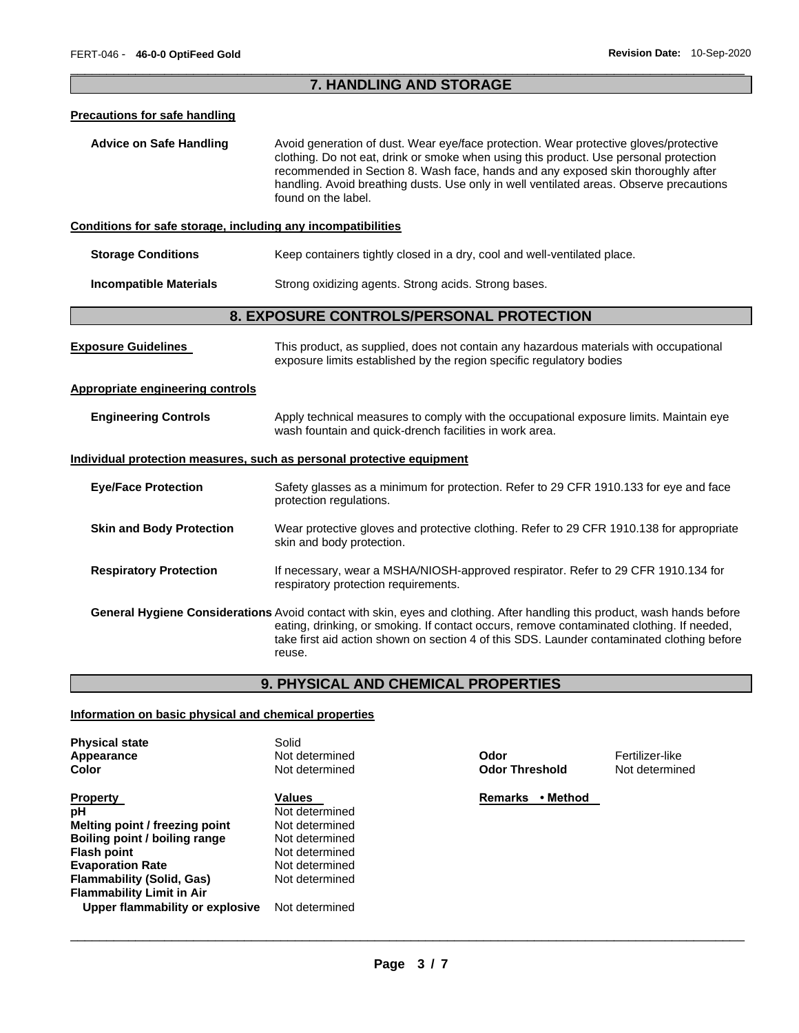**Not determined** 

# \_\_\_\_\_\_\_\_\_\_\_\_\_\_\_\_\_\_\_\_\_\_\_\_\_\_\_\_\_\_\_\_\_\_\_\_\_\_\_\_\_\_\_\_\_\_\_\_\_\_\_\_\_\_\_\_\_\_\_\_\_\_\_\_\_\_\_\_\_\_\_\_\_\_\_\_\_\_\_\_\_\_\_\_\_\_\_\_\_\_\_\_\_ **7. HANDLING AND STORAGE**

#### **Precautions for safe handling**

**Advice on Safe Handling** Avoid generation of dust. Wear eye/face protection. Wear protective gloves/protective clothing. Do not eat, drink or smoke when using this product. Use personal protection recommended in Section 8. Wash face, hands and any exposed skin thoroughly after handling. Avoid breathing dusts. Use only in well ventilated areas. Observe precautions found on the label.

## **Conditions for safe storage, including any incompatibilities**

| Storage Conditions |  |  | Keep containers tightly closed in a dry, cool and well-ventilated place. |
|--------------------|--|--|--------------------------------------------------------------------------|
|--------------------|--|--|--------------------------------------------------------------------------|

**Incompatible Materials Strong oxidizing agents. Strong acids. Strong bases.** 

# **8. EXPOSURE CONTROLS/PERSONAL PROTECTION**

| <b>Exposure Guidelines</b>                                            | This product, as supplied, does not contain any hazardous materials with occupational<br>exposure limits established by the region specific regulatory bodies                                                                                                                                                                         |
|-----------------------------------------------------------------------|---------------------------------------------------------------------------------------------------------------------------------------------------------------------------------------------------------------------------------------------------------------------------------------------------------------------------------------|
| <b>Appropriate engineering controls</b>                               |                                                                                                                                                                                                                                                                                                                                       |
| <b>Engineering Controls</b>                                           | Apply technical measures to comply with the occupational exposure limits. Maintain eye<br>wash fountain and quick-drench facilities in work area.                                                                                                                                                                                     |
| Individual protection measures, such as personal protective equipment |                                                                                                                                                                                                                                                                                                                                       |
| <b>Eye/Face Protection</b>                                            | Safety glasses as a minimum for protection. Refer to 29 CFR 1910.133 for eye and face<br>protection regulations.                                                                                                                                                                                                                      |
| <b>Skin and Body Protection</b>                                       | Wear protective gloves and protective clothing. Refer to 29 CFR 1910.138 for appropriate<br>skin and body protection.                                                                                                                                                                                                                 |
| <b>Respiratory Protection</b>                                         | If necessary, wear a MSHA/NIOSH-approved respirator. Refer to 29 CFR 1910.134 for<br>respiratory protection requirements.                                                                                                                                                                                                             |
|                                                                       | <b>General Hygiene Considerations</b> Avoid contact with skin, eyes and clothing. After handling this product, wash hands before<br>eating, drinking, or smoking. If contact occurs, remove contaminated clothing. If needed,<br>take first aid action shown on section 4 of this SDS. Launder contaminated clothing before<br>reuse. |

# **9. PHYSICAL AND CHEMICAL PROPERTIES**

# **Information on basic physical and chemical properties**

| <b>Physical state</b><br>Appearance | Solid<br>Not determined | Odor                       | Fertilizer-like |
|-------------------------------------|-------------------------|----------------------------|-----------------|
| Color                               | Not determined          | <b>Odor Threshold</b>      | Not determine   |
| <b>Property</b>                     | <b>Values</b>           | <b>Remarks</b><br>• Method |                 |
| рH                                  | Not determined          |                            |                 |
| Melting point / freezing point      | Not determined          |                            |                 |
| Boiling point / boiling range       | Not determined          |                            |                 |
| <b>Flash point</b>                  | Not determined          |                            |                 |
| <b>Evaporation Rate</b>             | Not determined          |                            |                 |
| <b>Flammability (Solid, Gas)</b>    | Not determined          |                            |                 |
| <b>Flammability Limit in Air</b>    |                         |                            |                 |
| Upper flammability or explosive     | Not determined          |                            |                 |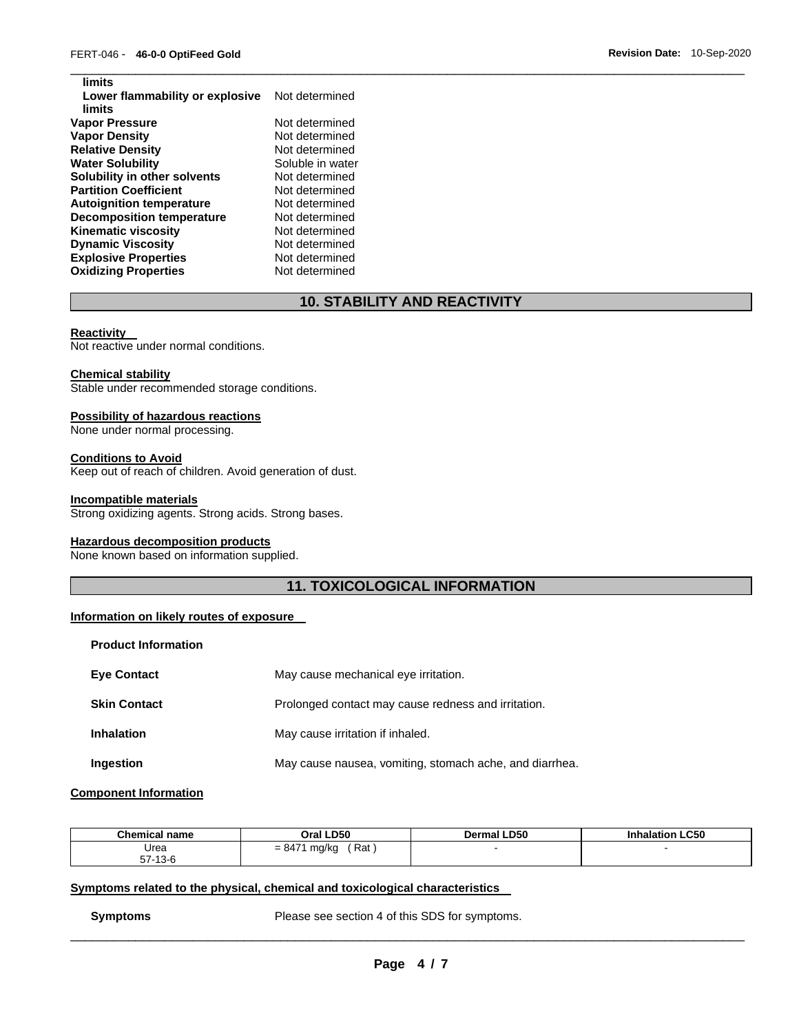| Not determined   |
|------------------|
|                  |
| Not determined   |
| Not determined   |
| Not determined   |
| Soluble in water |
| Not determined   |
| Not determined   |
| Not determined   |
| Not determined   |
| Not determined   |
| Not determined   |
| Not determined   |
| Not determined   |
|                  |

# **10. STABILITY AND REACTIVITY**

\_\_\_\_\_\_\_\_\_\_\_\_\_\_\_\_\_\_\_\_\_\_\_\_\_\_\_\_\_\_\_\_\_\_\_\_\_\_\_\_\_\_\_\_\_\_\_\_\_\_\_\_\_\_\_\_\_\_\_\_\_\_\_\_\_\_\_\_\_\_\_\_\_\_\_\_\_\_\_\_\_\_\_\_\_\_\_\_\_\_\_\_\_

#### **Reactivity**

**limits** 

Not reactive under normal conditions.

## **Chemical stability**

Stable under recommended storage conditions.

#### **Possibility of hazardous reactions**

None under normal processing.

#### **Conditions to Avoid**

Keep out of reach of children. Avoid generation of dust.

#### **Incompatible materials**

Strong oxidizing agents. Strong acids. Strong bases.

## **Hazardous decomposition products**

None known based on information supplied.

# **11. TOXICOLOGICAL INFORMATION**

# **Information on likely routes of exposure**

| <b>Product Information</b> |                                                         |
|----------------------------|---------------------------------------------------------|
| <b>Eye Contact</b>         | May cause mechanical eye irritation.                    |
| <b>Skin Contact</b>        | Prolonged contact may cause redness and irritation.     |
| <b>Inhalation</b>          | May cause irritation if inhaled.                        |
| Ingestion                  | May cause nausea, vomiting, stomach ache, and diarrhea. |

## **Component Information**

| <b>Chemical name</b> | Oral LD50                | <b>Dermal LD50</b> | <b>Inhalation LC50</b> |
|----------------------|--------------------------|--------------------|------------------------|
| Urea                 | Rat<br>$= 8471$<br>mg/kg |                    |                        |
| $57-13-6$            |                          |                    |                        |

# **Symptoms related to the physical, chemical and toxicological characteristics**

**Symptoms** Please see section 4 of this SDS for symptoms.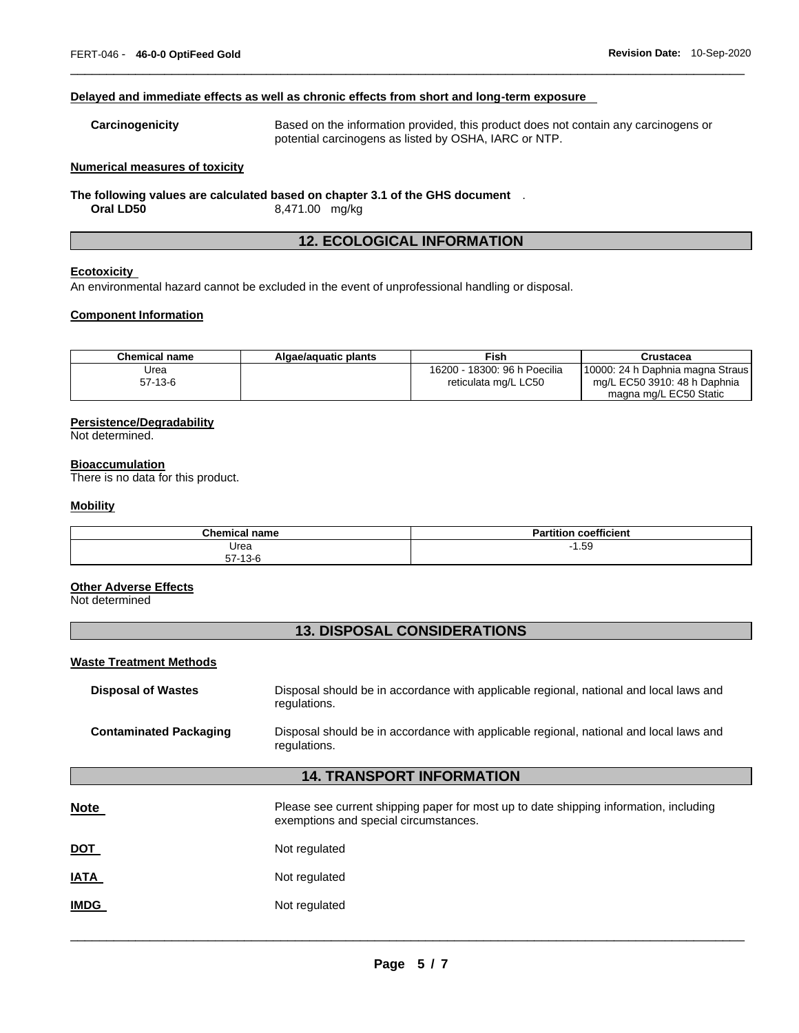#### **Delayed and immediate effects as well as chronic effects from short and long-term exposure**

**Carcinogenicity** Based on the information provided, this product does not contain any carcinogens or potential carcinogens as listed by OSHA, IARC or NTP.

\_\_\_\_\_\_\_\_\_\_\_\_\_\_\_\_\_\_\_\_\_\_\_\_\_\_\_\_\_\_\_\_\_\_\_\_\_\_\_\_\_\_\_\_\_\_\_\_\_\_\_\_\_\_\_\_\_\_\_\_\_\_\_\_\_\_\_\_\_\_\_\_\_\_\_\_\_\_\_\_\_\_\_\_\_\_\_\_\_\_\_\_\_

#### **Numerical measures of toxicity**

**The following values are calculated based on chapter 3.1 of the GHS document** . **Oral LD50** 8,471.00 mg/kg

# **12. ECOLOGICAL INFORMATION**

#### **Ecotoxicity**

An environmental hazard cannot be excluded in the event of unprofessional handling or disposal.

#### **Component Information**

| Chemical name | Algae/aguatic plants | Fish                         | Crustacea                        |
|---------------|----------------------|------------------------------|----------------------------------|
| Jrea          |                      | 16200 - 18300: 96 h Poecilia | 10000: 24 h Daphnia magna Straus |
| $57-13-6$     |                      | reticulata mg/L LC50         | mg/L EC50 3910: 48 h Daphnia     |
|               |                      |                              | magna mg/L EC50 Static           |

## **Persistence/Degradability**

Not determined.

#### **Bioaccumulation**

There is no data for this product.

#### **Mobility**

| <b>Chemical name</b> | coefficient<br>Partition<br>αı |
|----------------------|--------------------------------|
| Urea                 | 1.59<br>- 1                    |
| $57 - 13 - 6$        |                                |

## **Other Adverse Effects**

Not determined

# **13. DISPOSAL CONSIDERATIONS**

#### **Waste Treatment Methods**

| <b>Disposal of Wastes</b>     | Disposal should be in accordance with applicable regional, national and local laws and<br>regulations. |
|-------------------------------|--------------------------------------------------------------------------------------------------------|
| <b>Contaminated Packaging</b> | Disposal should be in accordance with applicable regional, national and local laws and<br>regulations. |

# **14. TRANSPORT INFORMATION**

| <b>Note</b> | Please see current shipping paper for most up to date shipping information, including<br>exemptions and special circumstances. |
|-------------|--------------------------------------------------------------------------------------------------------------------------------|
| <u>DOT</u>  | Not regulated                                                                                                                  |
| <b>IATA</b> | Not regulated                                                                                                                  |
| <b>IMDG</b> | Not regulated                                                                                                                  |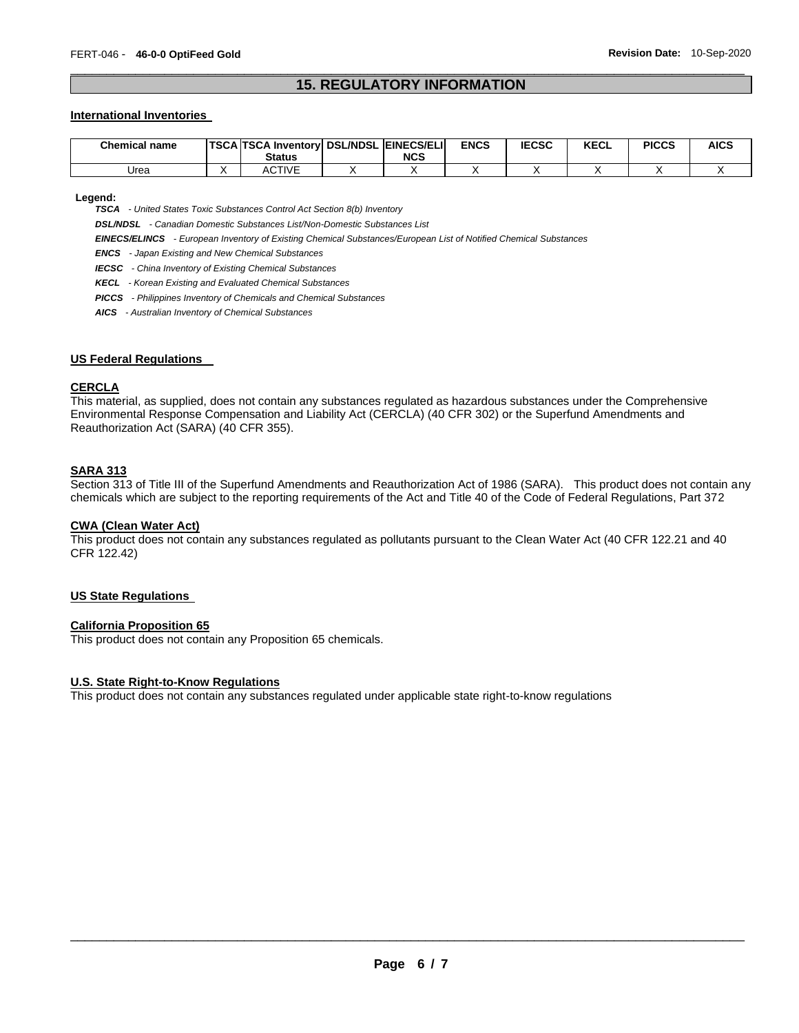# \_\_\_\_\_\_\_\_\_\_\_\_\_\_\_\_\_\_\_\_\_\_\_\_\_\_\_\_\_\_\_\_\_\_\_\_\_\_\_\_\_\_\_\_\_\_\_\_\_\_\_\_\_\_\_\_\_\_\_\_\_\_\_\_\_\_\_\_\_\_\_\_\_\_\_\_\_\_\_\_\_\_\_\_\_\_\_\_\_\_\_\_\_ **15. REGULATORY INFORMATION**

#### **International Inventories**

| <b>Chemical name</b> | <b>TSCA TSCA Inventory DSL/NDSL EINECS/ELIL</b><br><b>Status</b> | <b>NCS</b> | <b>ENCS</b> | <b>IECSC</b> | <b>KECL</b> | <b>PICCS</b> | <b>AICS</b> |
|----------------------|------------------------------------------------------------------|------------|-------------|--------------|-------------|--------------|-------------|
| Urea                 | <b>ACTIVE</b>                                                    |            |             |              |             |              |             |

**Legend:** 

*TSCA - United States Toxic Substances Control Act Section 8(b) Inventory* 

*DSL/NDSL - Canadian Domestic Substances List/Non-Domestic Substances List* 

*EINECS/ELINCS - European Inventory of Existing Chemical Substances/European List of Notified Chemical Substances* 

*ENCS - Japan Existing and New Chemical Substances* 

*IECSC - China Inventory of Existing Chemical Substances* 

*KECL - Korean Existing and Evaluated Chemical Substances* 

*PICCS - Philippines Inventory of Chemicals and Chemical Substances* 

*AICS - Australian Inventory of Chemical Substances* 

#### **US Federal Regulations**

#### **CERCLA**

This material, as supplied, does not contain any substances regulated as hazardous substances under the Comprehensive Environmental Response Compensation and Liability Act (CERCLA) (40 CFR 302) or the Superfund Amendments and Reauthorization Act (SARA) (40 CFR 355).

#### **SARA 313**

Section 313 of Title III of the Superfund Amendments and Reauthorization Act of 1986 (SARA). This product does not contain any chemicals which are subject to the reporting requirements of the Act and Title 40 of the Code of Federal Regulations, Part 372

#### **CWA (Clean Water Act)**

This product does not contain any substances regulated as pollutants pursuant to the Clean Water Act (40 CFR 122.21 and 40 CFR 122.42)

## **US State Regulations**

#### **California Proposition 65**

This product does not contain any Proposition 65 chemicals.

#### **U.S. State Right-to-Know Regulations**

This product does not contain any substances regulated under applicable state right-to-know regulations